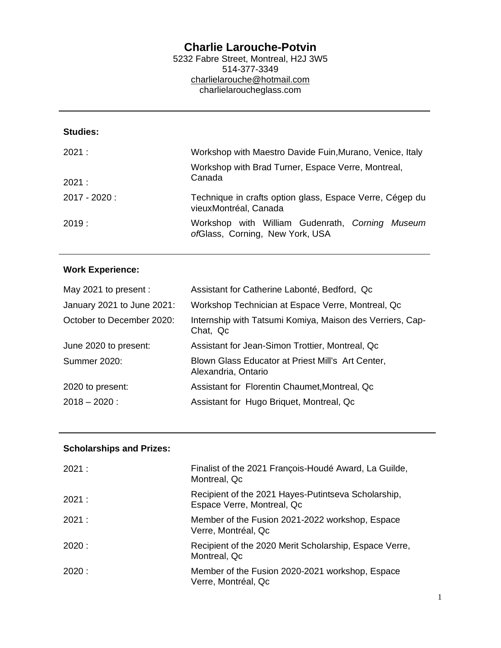## **Charlie Larouche-Potvin**

5232 Fabre Street, Montreal, H2J 3W5 514-377-3349 [charlielarouche@hotmail.com](mailto:charlielarouche@hotmail.com) charlielaroucheglass.com

## **Studies:**

| 2021:           | Workshop with Maestro Davide Fuin, Murano, Venice, Italy                           |
|-----------------|------------------------------------------------------------------------------------|
| 2021:           | Workshop with Brad Turner, Espace Verre, Montreal,<br>Canada                       |
| $2017 - 2020$ : | Technique in crafts option glass, Espace Verre, Cégep du<br>vieuxMontréal, Canada  |
| 2019:           | Workshop with William Gudenrath, Corning Museum<br>ofGlass, Corning, New York, USA |

## **Work Experience:**

| May 2021 to present :      | Assistant for Catherine Labonté, Bedford, Qc                             |
|----------------------------|--------------------------------------------------------------------------|
| January 2021 to June 2021: | Workshop Technician at Espace Verre, Montreal, Qc                        |
| October to December 2020:  | Internship with Tatsumi Komiya, Maison des Verriers, Cap-<br>Chat, Qc    |
| June 2020 to present:      | Assistant for Jean-Simon Trottier, Montreal, Qc                          |
| <b>Summer 2020:</b>        | Blown Glass Educator at Priest Mill's Art Center,<br>Alexandria, Ontario |
| 2020 to present:           | Assistant for Florentin Chaumet, Montreal, Qc                            |
| $2018 - 2020$ :            | Assistant for Hugo Briquet, Montreal, Qc                                 |

## **Scholarships and Prizes:**

| 2021: | Finalist of the 2021 François-Houdé Award, La Guilde,<br>Montreal, Qc             |
|-------|-----------------------------------------------------------------------------------|
| 2021: | Recipient of the 2021 Hayes-Putintseva Scholarship,<br>Espace Verre, Montreal, Qc |
| 2021: | Member of the Fusion 2021-2022 workshop, Espace<br>Verre, Montréal, Qc            |
| 2020: | Recipient of the 2020 Merit Scholarship, Espace Verre,<br>Montreal, Qc            |
| 2020: | Member of the Fusion 2020-2021 workshop, Espace<br>Verre, Montréal, Qc            |